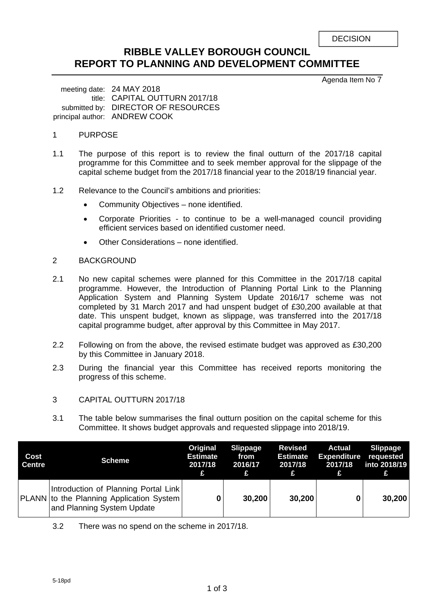| <b>DECISION</b> |
|-----------------|
|-----------------|

## **RIBBLE VALLEY BOROUGH COUNCIL REPORT TO PLANNING AND DEVELOPMENT COMMITTEE**

Agenda Item No 7

meeting date: 24 MAY 2018 title: CAPITAL OUTTURN 2017/18 submitted by: DIRECTOR OF RESOURCES principal author: ANDREW COOK

#### 1 PURPOSE

- 1.1 The purpose of this report is to review the final outturn of the 2017/18 capital programme for this Committee and to seek member approval for the slippage of the capital scheme budget from the 2017/18 financial year to the 2018/19 financial year.
- 1.2 Relevance to the Council's ambitions and priorities:
	- Community Objectives none identified.
	- Corporate Priorities to continue to be a well-managed council providing efficient services based on identified customer need.
	- Other Considerations none identified.

#### 2 BACKGROUND

- 2.1 No new capital schemes were planned for this Committee in the 2017/18 capital programme. However, the Introduction of Planning Portal Link to the Planning Application System and Planning System Update 2016/17 scheme was not completed by 31 March 2017 and had unspent budget of £30,200 available at that date. This unspent budget, known as slippage, was transferred into the 2017/18 capital programme budget, after approval by this Committee in May 2017.
- 2.2 Following on from the above, the revised estimate budget was approved as £30,200 by this Committee in January 2018.
- 2.3 During the financial year this Committee has received reports monitoring the progress of this scheme.

#### 3 CAPITAL OUTTURN 2017/18

3.1 The table below summarises the final outturn position on the capital scheme for this Committee. It shows budget approvals and requested slippage into 2018/19.

| Cost<br><b>Centre</b> | <b>Scheme</b>                                                                                                  | Original<br><b>Estimate</b><br>2017/18<br>£ | <b>Slippage</b><br>from<br>2016/17<br>£. | <b>Revised</b><br><b>Estimate</b><br>2017/18<br>£ | Actual<br><b>Expenditure requested</b><br>2017/18<br>£ | Slippage<br>into 2018/19<br>Æ |
|-----------------------|----------------------------------------------------------------------------------------------------------------|---------------------------------------------|------------------------------------------|---------------------------------------------------|--------------------------------------------------------|-------------------------------|
|                       | Introduction of Planning Portal Link<br>PLANN to the Planning Application System<br>and Planning System Update | 0                                           | 30.200                                   | 30,200                                            |                                                        | 30,200                        |

3.2 There was no spend on the scheme in 2017/18.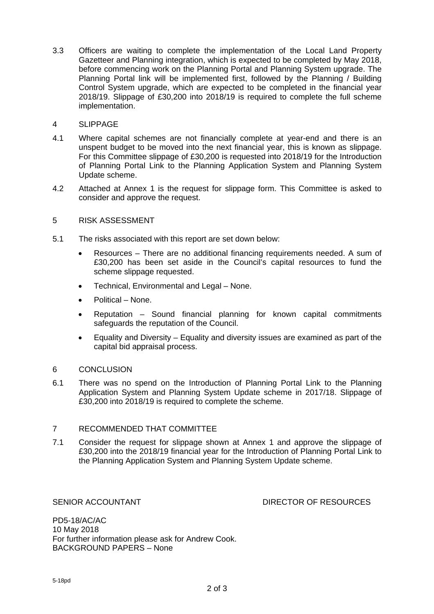3.3 Officers are waiting to complete the implementation of the Local Land Property Gazetteer and Planning integration, which is expected to be completed by May 2018, before commencing work on the Planning Portal and Planning System upgrade. The Planning Portal link will be implemented first, followed by the Planning / Building Control System upgrade, which are expected to be completed in the financial year 2018/19. Slippage of £30,200 into 2018/19 is required to complete the full scheme implementation.

#### 4 SLIPPAGE

- 4.1 Where capital schemes are not financially complete at year-end and there is an unspent budget to be moved into the next financial year, this is known as slippage. For this Committee slippage of £30,200 is requested into 2018/19 for the Introduction of Planning Portal Link to the Planning Application System and Planning System Update scheme.
- 4.2 Attached at Annex 1 is the request for slippage form. This Committee is asked to consider and approve the request.

#### 5 RISK ASSESSMENT

- 5.1 The risks associated with this report are set down below:
	- Resources There are no additional financing requirements needed. A sum of £30,200 has been set aside in the Council's capital resources to fund the scheme slippage requested.
	- Technical, Environmental and Legal None.
	- Political None.
	- Reputation Sound financial planning for known capital commitments safeguards the reputation of the Council.
	- Equality and Diversity Equality and diversity issues are examined as part of the capital bid appraisal process.

#### 6 CONCLUSION

6.1 There was no spend on the Introduction of Planning Portal Link to the Planning Application System and Planning System Update scheme in 2017/18. Slippage of £30,200 into 2018/19 is required to complete the scheme.

#### 7 RECOMMENDED THAT COMMITTEE

7.1 Consider the request for slippage shown at Annex 1 and approve the slippage of £30,200 into the 2018/19 financial year for the Introduction of Planning Portal Link to the Planning Application System and Planning System Update scheme.

SENIOR ACCOUNTANT **Example 20 SENIOR ACCOUNTANT** 

PD5-18/AC/AC 10 May 2018 For further information please ask for Andrew Cook. BACKGROUND PAPERS – None